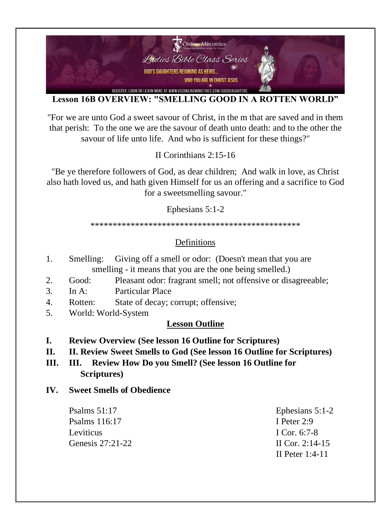

### **Lesson 16B OVERVIEW: "SMELLING GOOD IN A ROTTEN WORLD"**

"For we are unto God a sweet savour of Christ, in the m that are saved and in them that perish: To the one we are the savour of death unto death: and to the other the savour of life unto life. And who is sufficient for these things?"

II Corinthians 2:15-16

"Be ye therefore followers of God, as dear children; And walk in love, as Christ also hath loved us, and hath given Himself for us an offering and a sacrifice to God for a sweetsmelling savour."

#### Ephesians 5:1-2

\*\*\*\*\*\*\*\*\*\*\*\*\*\*\*\*\*\*\*\*\*\*\*\*\*\*\*\*\*\*\*\*\*\*\*\*\*\*\*\*\*\*\*\*\*\*\*

# Definitions

- 1. Smelling: Giving off a smell or odor: (Doesn't mean that you are smelling - it means that you are the one being smelled.)
- 2. Good: Pleasant odor: fragrant smell; not offensive or disagreeable;
- 3. In A: Particular Place
- 4. Rotten: State of decay; corrupt; offensive;
- 5. World: World-System

## **Lesson Outline**

- **I. Review Overview (See lesson 16 Outline for Scriptures)**
- **II. II. Review Sweet Smells to God (See lesson 16 Outline for Scriptures)**
- **III. III. Review How Do you Smell? (See lesson 16 Outline for Scriptures)**
- **IV. Sweet Smells of Obedience**

Psalms 116:17 I Peter 2:9 Leviticus I Cor. 6:7-8 Genesis 27:21-22 II Cor. 2:14-15

Psalms 51:17 Ephesians 5:1-2 II Peter 1:4-11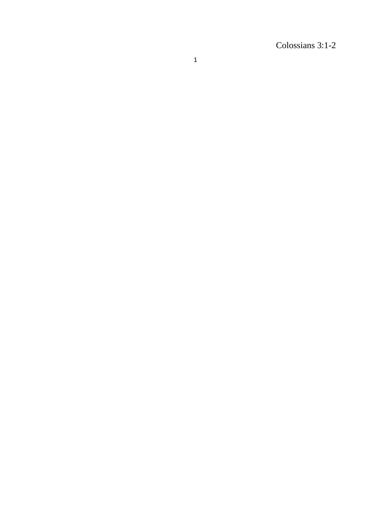Colossians 3:1 -2